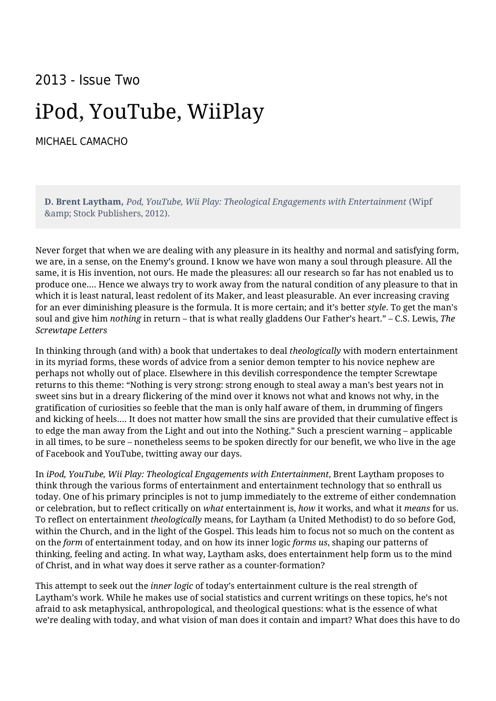## 2013 - Issue Two

## iPod, YouTube, WiiPlay

[MICHAEL CAMACHO](https://humanumreview.com/contributors/michael-camacho)

**D. Brent Laytham**, *Pod, YouTube, Wii Play: Theological Engagements with Entertainment* (Wipf & amp; Stock Publishers, 2012).

Never forget that when we are dealing with any pleasure in its healthy and normal and satisfying form, we are, in a sense, on the Enemy's ground. I know we have won many a soul through pleasure. All the same, it is His invention, not ours. He made the pleasures: all our research so far has not enabled us to produce one…. Hence we always try to work away from the natural condition of any pleasure to that in which it is least natural, least redolent of its Maker, and least pleasurable. An ever increasing craving for an ever diminishing pleasure is the formula. It is more certain; and it's better *style*. To get the man's soul and give him *nothing* in return – that is what really gladdens Our Father's heart." – C.S. Lewis, *The Screwtape Letters*

In thinking through (and with) a book that undertakes to deal *theologically* with modern entertainment in its myriad forms, these words of advice from a senior demon tempter to his novice nephew are perhaps not wholly out of place. Elsewhere in this devilish correspondence the tempter Screwtape returns to this theme: "Nothing is very strong: strong enough to steal away a man's best years not in sweet sins but in a dreary flickering of the mind over it knows not what and knows not why, in the gratification of curiosities so feeble that the man is only half aware of them, in drumming of fingers and kicking of heels…. It does not matter how small the sins are provided that their cumulative effect is to edge the man away from the Light and out into the Nothing." Such a prescient warning – applicable in all times, to be sure – nonetheless seems to be spoken directly for our benefit, we who live in the age of Facebook and YouTube, twitting away our days.

In *iPod, YouTube, Wii Play: Theological Engagements with Entertainment*, Brent Laytham proposes to think through the various forms of entertainment and entertainment technology that so enthrall us today. One of his primary principles is not to jump immediately to the extreme of either condemnation or celebration, but to reflect critically on *what* entertainment is, *how* it works, and what it *means* for us. To reflect on entertainment *theologically* means, for Laytham (a United Methodist) to do so before God, within the Church, and in the light of the Gospel. This leads him to focus not so much on the content as on the *form* of entertainment today, and on how its inner logic *forms us*, shaping our patterns of thinking, feeling and acting. In what way, Laytham asks, does entertainment help form us to the mind of Christ, and in what way does it serve rather as a counter-formation?

This attempt to seek out the *inner logic* of today's entertainment culture is the real strength of Laytham's work. While he makes use of social statistics and current writings on these topics, he's not afraid to ask metaphysical, anthropological, and theological questions: what is the essence of what we're dealing with today, and what vision of man does it contain and impart? What does this have to do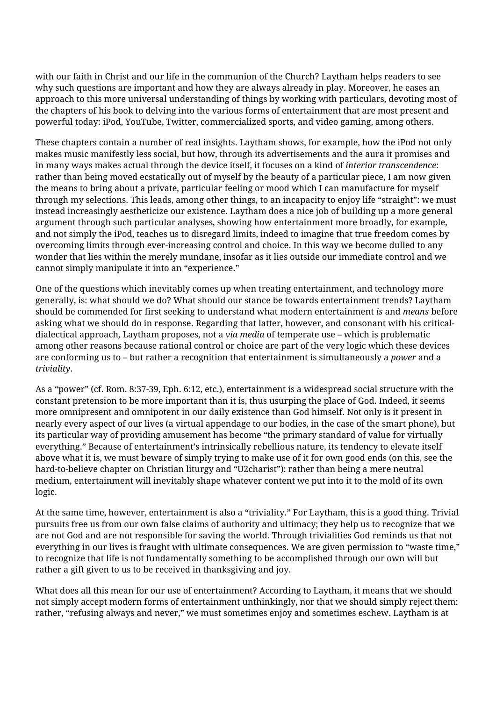with our faith in Christ and our life in the communion of the Church? Laytham helps readers to see why such questions are important and how they are always already in play. Moreover, he eases an approach to this more universal understanding of things by working with particulars, devoting most of the chapters of his book to delving into the various forms of entertainment that are most present and powerful today: iPod, YouTube, Twitter, commercialized sports, and video gaming, among others.

These chapters contain a number of real insights. Laytham shows, for example, how the iPod not only makes music manifestly less social, but how, through its advertisements and the aura it promises and in many ways makes actual through the device itself, it focuses on a kind of *interior transcendence*: rather than being moved ecstatically out of myself by the beauty of a particular piece, I am now given the means to bring about a private, particular feeling or mood which I can manufacture for myself through my selections. This leads, among other things, to an incapacity to enjoy life "straight": we must instead increasingly aestheticize our existence. Laytham does a nice job of building up a more general argument through such particular analyses, showing how entertainment more broadly, for example, and not simply the iPod, teaches us to disregard limits, indeed to imagine that true freedom comes by overcoming limits through ever-increasing control and choice. In this way we become dulled to any wonder that lies within the merely mundane, insofar as it lies outside our immediate control and we cannot simply manipulate it into an "experience."

One of the questions which inevitably comes up when treating entertainment, and technology more generally, is: what should we do? What should our stance be towards entertainment trends? Laytham should be commended for first seeking to understand what modern entertainment *is* and *means* before asking what we should do in response. Regarding that latter, however, and consonant with his criticaldialectical approach, Laytham proposes, not a *via media* of temperate use – which is problematic among other reasons because rational control or choice are part of the very logic which these devices are conforming us to – but rather a recognition that entertainment is simultaneously a *power* and a *triviality*.

As a "power" (cf. Rom. 8:37-39, Eph. 6:12, etc.), entertainment is a widespread social structure with the constant pretension to be more important than it is, thus usurping the place of God. Indeed, it seems more omnipresent and omnipotent in our daily existence than God himself. Not only is it present in nearly every aspect of our lives (a virtual appendage to our bodies, in the case of the smart phone), but its particular way of providing amusement has become "the primary standard of value for virtually everything." Because of entertainment's intrinsically rebellious nature, its tendency to elevate itself above what it is, we must beware of simply trying to make use of it for own good ends (on this, see the hard-to-believe chapter on Christian liturgy and "U2charist"): rather than being a mere neutral medium, entertainment will inevitably shape whatever content we put into it to the mold of its own logic.

At the same time, however, entertainment is also a "triviality." For Laytham, this is a good thing. Trivial pursuits free us from our own false claims of authority and ultimacy; they help us to recognize that we are not God and are not responsible for saving the world. Through trivialities God reminds us that not everything in our lives is fraught with ultimate consequences. We are given permission to "waste time," to recognize that life is not fundamentally something to be accomplished through our own will but rather a gift given to us to be received in thanksgiving and joy.

What does all this mean for our use of entertainment? According to Laytham, it means that we should not simply accept modern forms of entertainment unthinkingly, nor that we should simply reject them: rather, "refusing always and never," we must sometimes enjoy and sometimes eschew. Laytham is at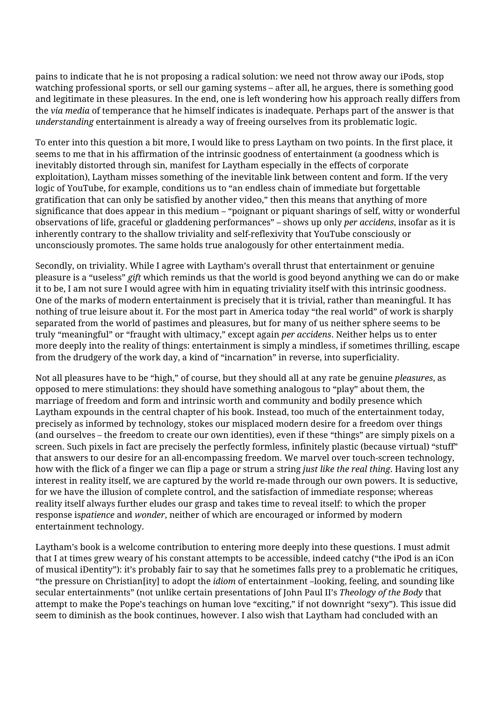pains to indicate that he is not proposing a radical solution: we need not throw away our iPods, stop watching professional sports, or sell our gaming systems – after all, he argues, there is something good and legitimate in these pleasures. In the end, one is left wondering how his approach really differs from the *via media* of temperance that he himself indicates is inadequate. Perhaps part of the answer is that *understanding* entertainment is already a way of freeing ourselves from its problematic logic.

To enter into this question a bit more, I would like to press Laytham on two points. In the first place, it seems to me that in his affirmation of the intrinsic goodness of entertainment (a goodness which is inevitably distorted through sin, manifest for Laytham especially in the effects of corporate exploitation), Laytham misses something of the inevitable link between content and form. If the very logic of YouTube, for example, conditions us to "an endless chain of immediate but forgettable gratification that can only be satisfied by another video," then this means that anything of more significance that does appear in this medium – "poignant or piquant sharings of self, witty or wonderful observations of life, graceful or gladdening performances" – shows up only *per accidens*, insofar as it is inherently contrary to the shallow triviality and self-reflexivity that YouTube consciously or unconsciously promotes. The same holds true analogously for other entertainment media.

Secondly, on triviality. While I agree with Laytham's overall thrust that entertainment or genuine pleasure is a "useless" *gift* which reminds us that the world is good beyond anything we can do or make it to be, I am not sure I would agree with him in equating triviality itself with this intrinsic goodness. One of the marks of modern entertainment is precisely that it is trivial, rather than meaningful. It has nothing of true leisure about it. For the most part in America today "the real world" of work is sharply separated from the world of pastimes and pleasures, but for many of us neither sphere seems to be truly "meaningful" or "fraught with ultimacy," except again *per accidens*. Neither helps us to enter more deeply into the reality of things: entertainment is simply a mindless, if sometimes thrilling, escape from the drudgery of the work day, a kind of "incarnation" in reverse, into superficiality.

Not all pleasures have to be "high," of course, but they should all at any rate be genuine *pleasures*, as opposed to mere stimulations: they should have something analogous to "play" about them, the marriage of freedom and form and intrinsic worth and community and bodily presence which Laytham expounds in the central chapter of his book. Instead, too much of the entertainment today, precisely as informed by technology, stokes our misplaced modern desire for a freedom over things (and ourselves – the freedom to create our own identities), even if these "things" are simply pixels on a screen. Such pixels in fact are precisely the perfectly formless, infinitely plastic (because virtual) "stuff" that answers to our desire for an all-encompassing freedom. We marvel over touch-screen technology, how with the flick of a finger we can flip a page or strum a string *just like the real thing*. Having lost any interest in reality itself, we are captured by the world re-made through our own powers. It is seductive, for we have the illusion of complete control, and the satisfaction of immediate response; whereas reality itself always further eludes our grasp and takes time to reveal itself: to which the proper response is*patience* and *wonder*, neither of which are encouraged or informed by modern entertainment technology.

Laytham's book is a welcome contribution to entering more deeply into these questions. I must admit that I at times grew weary of his constant attempts to be accessible, indeed catchy ("the iPod is an iCon of musical iDentity"): it's probably fair to say that he sometimes falls prey to a problematic he critiques, "the pressure on Christian[ity] to adopt the *idiom* of entertainment –looking, feeling, and sounding like secular entertainments" (not unlike certain presentations of John Paul II's *Theology of the Body* that attempt to make the Pope's teachings on human love "exciting," if not downright "sexy"). This issue did seem to diminish as the book continues, however. I also wish that Laytham had concluded with an